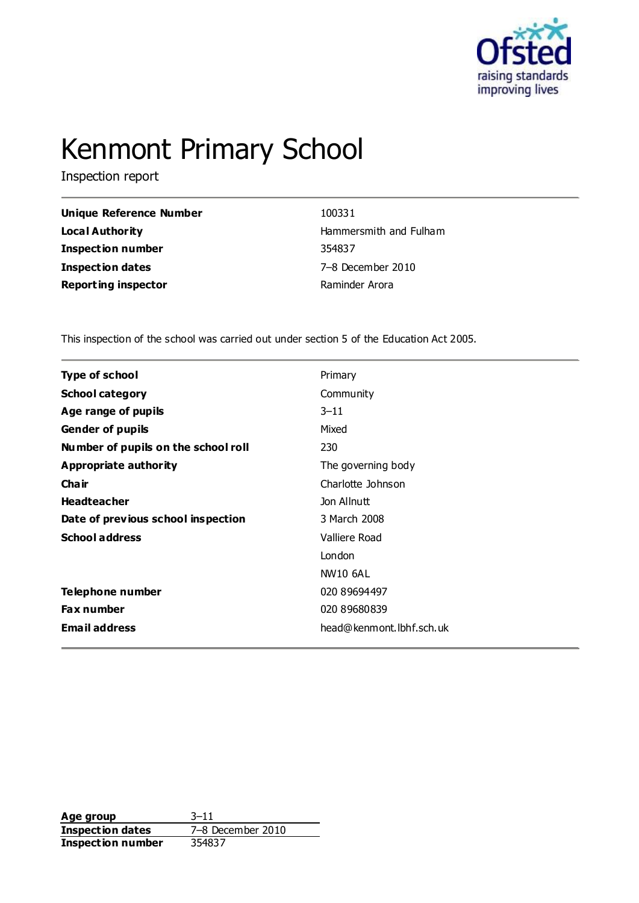

# Kenmont Primary School

Inspection report

| 100331                 |
|------------------------|
| Hammersmith and Fulham |
| 354837                 |
| 7-8 December 2010      |
| Raminder Arora         |
|                        |

This inspection of the school was carried out under section 5 of the Education Act 2005.

| <b>Type of school</b>               | Primary                  |  |
|-------------------------------------|--------------------------|--|
| <b>School category</b>              | Community                |  |
| Age range of pupils                 | $3 - 11$                 |  |
| <b>Gender of pupils</b>             | Mixed                    |  |
| Number of pupils on the school roll | 230                      |  |
| Appropriate authority               | The governing body       |  |
| Cha ir                              | Charlotte Johnson        |  |
| <b>Headteacher</b>                  | Jon Allnutt              |  |
| Date of previous school inspection  | 3 March 2008             |  |
| <b>School address</b>               | Valliere Road            |  |
|                                     | London                   |  |
|                                     | <b>NW10 6AL</b>          |  |
| Telephone number                    | 020 89694497             |  |
| <b>Fax number</b>                   | 020 89680839             |  |
| <b>Email address</b>                | head@kenmont.lbhf.sch.uk |  |

**Age group** 3–11 **Inspection dates** 7–8 December 2010 **Inspection number** 354837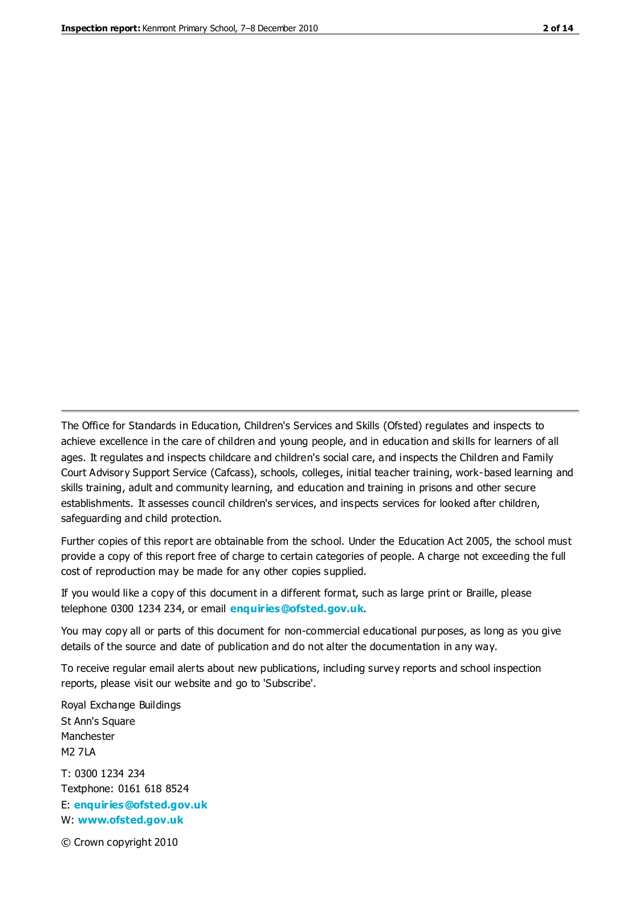The Office for Standards in Education, Children's Services and Skills (Ofsted) regulates and inspects to achieve excellence in the care of children and young people, and in education and skills for learners of all ages. It regulates and inspects childcare and children's social care, and inspects the Children and Family Court Advisory Support Service (Cafcass), schools, colleges, initial teacher training, work-based learning and skills training, adult and community learning, and education and training in prisons and other secure establishments. It assesses council children's services, and inspects services for looked after children, safeguarding and child protection.

Further copies of this report are obtainable from the school. Under the Education Act 2005, the school must provide a copy of this report free of charge to certain categories of people. A charge not exceeding the full cost of reproduction may be made for any other copies supplied.

If you would like a copy of this document in a different format, such as large print or Braille, please telephone 0300 1234 234, or email **[enquiries@ofsted.gov.uk](mailto:enquiries@ofsted.gov.uk)**.

You may copy all or parts of this document for non-commercial educational purposes, as long as you give details of the source and date of publication and do not alter the documentation in any way.

To receive regular email alerts about new publications, including survey reports and school inspection reports, please visit our website and go to 'Subscribe'.

Royal Exchange Buildings St Ann's Square Manchester M2 7LA T: 0300 1234 234 Textphone: 0161 618 8524 E: **[enquiries@ofsted.gov.uk](mailto:enquiries@ofsted.gov.uk)**

W: **[www.ofsted.gov.uk](http://www.ofsted.gov.uk/)**

© Crown copyright 2010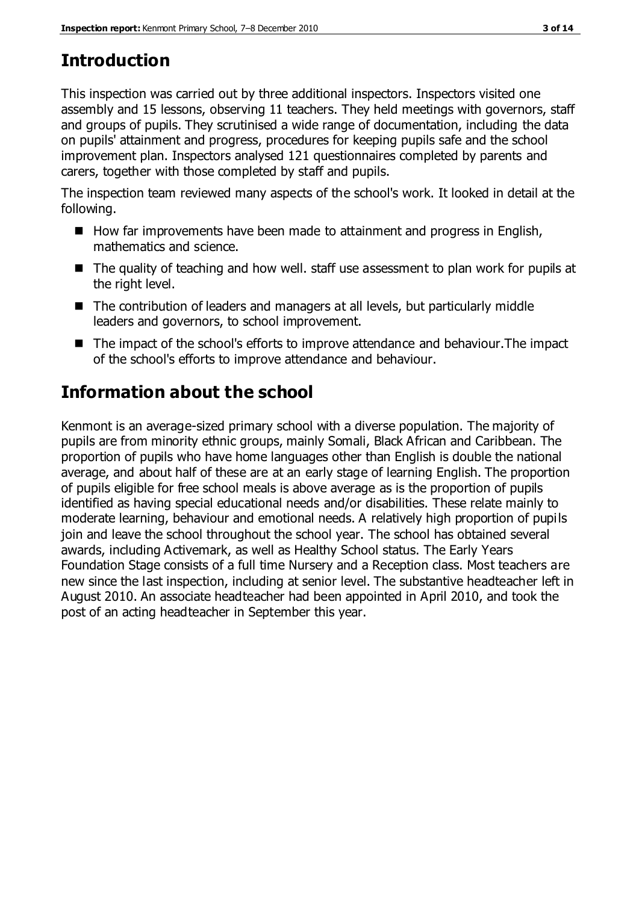## **Introduction**

This inspection was carried out by three additional inspectors. Inspectors visited one assembly and 15 lessons, observing 11 teachers. They held meetings with governors, staff and groups of pupils. They scrutinised a wide range of documentation, including the data on pupils' attainment and progress, procedures for keeping pupils safe and the school improvement plan. Inspectors analysed 121 questionnaires completed by parents and carers, together with those completed by staff and pupils.

The inspection team reviewed many aspects of the school's work. It looked in detail at the following.

- How far improvements have been made to attainment and progress in English, mathematics and science.
- The quality of teaching and how well. staff use assessment to plan work for pupils at the right level.
- The contribution of leaders and managers at all levels, but particularly middle leaders and governors, to school improvement.
- The impact of the school's efforts to improve attendance and behaviour. The impact of the school's efforts to improve attendance and behaviour.

## **Information about the school**

Kenmont is an average-sized primary school with a diverse population. The majority of pupils are from minority ethnic groups, mainly Somali, Black African and Caribbean. The proportion of pupils who have home languages other than English is double the national average, and about half of these are at an early stage of learning English. The proportion of pupils eligible for free school meals is above average as is the proportion of pupils identified as having special educational needs and/or disabilities. These relate mainly to moderate learning, behaviour and emotional needs. A relatively high proportion of pupils join and leave the school throughout the school year. The school has obtained several awards, including Activemark, as well as Healthy School status. The Early Years Foundation Stage consists of a full time Nursery and a Reception class. Most teachers are new since the last inspection, including at senior level. The substantive headteacher left in August 2010. An associate headteacher had been appointed in April 2010, and took the post of an acting headteacher in September this year.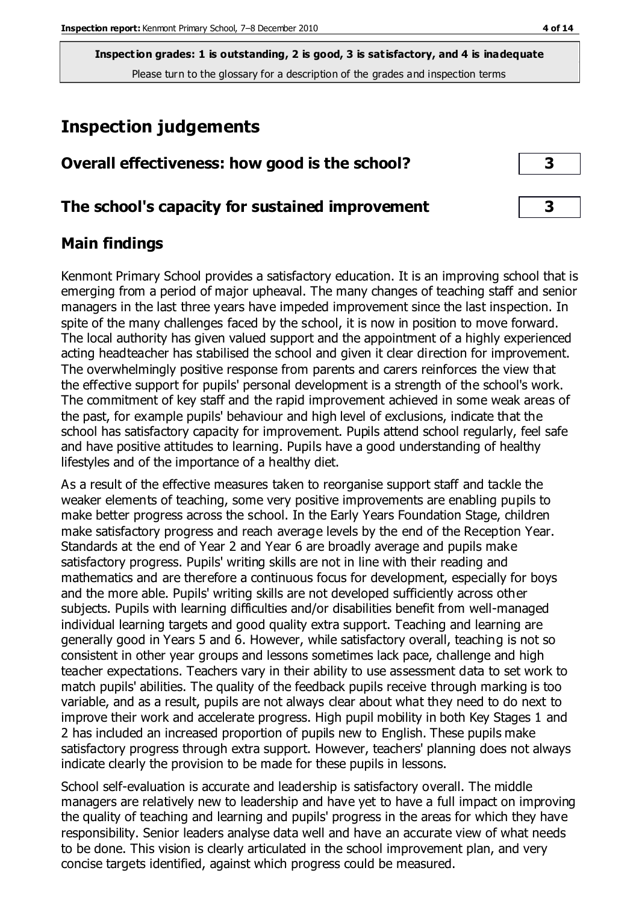**Inspection grades: 1 is outstanding, 2 is good, 3 is satisfactory, and 4 is inadequate** Please turn to the glossary for a description of the grades and inspection terms

## **Inspection judgements**

| Overall effectiveness: how good is the school? |  |
|------------------------------------------------|--|
|------------------------------------------------|--|

#### **The school's capacity for sustained improvement 3**

#### **Main findings**

Kenmont Primary School provides a satisfactory education. It is an improving school that is emerging from a period of major upheaval. The many changes of teaching staff and senior managers in the last three years have impeded improvement since the last inspection. In spite of the many challenges faced by the school, it is now in position to move forward. The local authority has given valued support and the appointment of a highly experienced acting headteacher has stabilised the school and given it clear direction for improvement. The overwhelmingly positive response from parents and carers reinforces the view that the effective support for pupils' personal development is a strength of the school's work. The commitment of key staff and the rapid improvement achieved in some weak areas of the past, for example pupils' behaviour and high level of exclusions, indicate that the school has satisfactory capacity for improvement. Pupils attend school regularly, feel safe and have positive attitudes to learning. Pupils have a good understanding of healthy lifestyles and of the importance of a healthy diet.

As a result of the effective measures taken to reorganise support staff and tackle the weaker elements of teaching, some very positive improvements are enabling pupils to make better progress across the school. In the Early Years Foundation Stage, children make satisfactory progress and reach average levels by the end of the Reception Year. Standards at the end of Year 2 and Year 6 are broadly average and pupils make satisfactory progress. Pupils' writing skills are not in line with their reading and mathematics and are therefore a continuous focus for development, especially for boys and the more able. Pupils' writing skills are not developed sufficiently across other subjects. Pupils with learning difficulties and/or disabilities benefit from well-managed individual learning targets and good quality extra support. Teaching and learning are generally good in Years 5 and 6. However, while satisfactory overall, teaching is not so consistent in other year groups and lessons sometimes lack pace, challenge and high teacher expectations. Teachers vary in their ability to use assessment data to set work to match pupils' abilities. The quality of the feedback pupils receive through marking is too variable, and as a result, pupils are not always clear about what they need to do next to improve their work and accelerate progress. High pupil mobility in both Key Stages 1 and 2 has included an increased proportion of pupils new to English. These pupils make satisfactory progress through extra support. However, teachers' planning does not always indicate clearly the provision to be made for these pupils in lessons.

School self-evaluation is accurate and leadership is satisfactory overall. The middle managers are relatively new to leadership and have yet to have a full impact on improving the quality of teaching and learning and pupils' progress in the areas for which they have responsibility. Senior leaders analyse data well and have an accurate view of what needs to be done. This vision is clearly articulated in the school improvement plan, and very concise targets identified, against which progress could be measured.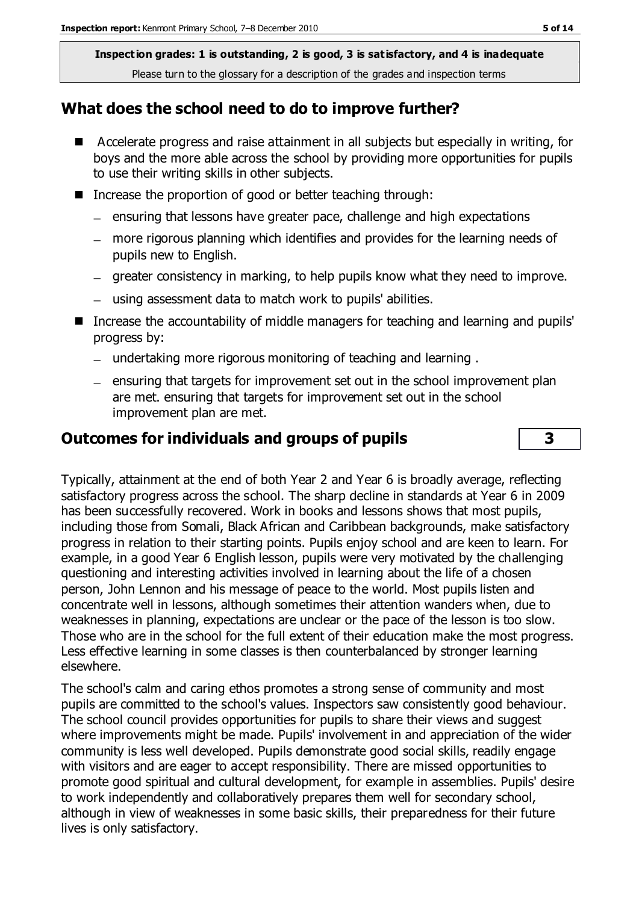**Inspection grades: 1 is outstanding, 2 is good, 3 is satisfactory, and 4 is inadequate** Please turn to the glossary for a description of the grades and inspection terms

#### **What does the school need to do to improve further?**

- Accelerate progress and raise attainment in all subjects but especially in writing, for boys and the more able across the school by providing more opportunities for pupils to use their writing skills in other subjects.
- Increase the proportion of good or better teaching through:
	- $=$  ensuring that lessons have greater pace, challenge and high expectations
	- more rigorous planning which identifies and provides for the learning needs of pupils new to English.
	- greater consistency in marking, to help pupils know what they need to improve.
	- using assessment data to match work to pupils' abilities.
- Increase the accountability of middle managers for teaching and learning and pupils' progress by:
	- undertaking more rigorous monitoring of teaching and learning .
	- $-$  ensuring that targets for improvement set out in the school improvement plan are met. ensuring that targets for improvement set out in the school improvement plan are met.

#### **Outcomes for individuals and groups of pupils 3**

Typically, attainment at the end of both Year 2 and Year 6 is broadly average, reflecting satisfactory progress across the school. The sharp decline in standards at Year 6 in 2009 has been successfully recovered. Work in books and lessons shows that most pupils, including those from Somali, Black African and Caribbean backgrounds, make satisfactory progress in relation to their starting points. Pupils enjoy school and are keen to learn. For example, in a good Year 6 English lesson, pupils were very motivated by the challenging questioning and interesting activities involved in learning about the life of a chosen person, John Lennon and his message of peace to the world. Most pupils listen and concentrate well in lessons, although sometimes their attention wanders when, due to weaknesses in planning, expectations are unclear or the pace of the lesson is too slow. Those who are in the school for the full extent of their education make the most progress. Less effective learning in some classes is then counterbalanced by stronger learning elsewhere.

The school's calm and caring ethos promotes a strong sense of community and most pupils are committed to the school's values. Inspectors saw consistently good behaviour. The school council provides opportunities for pupils to share their views and suggest where improvements might be made. Pupils' involvement in and appreciation of the wider community is less well developed. Pupils demonstrate good social skills, readily engage with visitors and are eager to accept responsibility. There are missed opportunities to promote good spiritual and cultural development, for example in assemblies. Pupils' desire to work independently and collaboratively prepares them well for secondary school, although in view of weaknesses in some basic skills, their preparedness for their future lives is only satisfactory.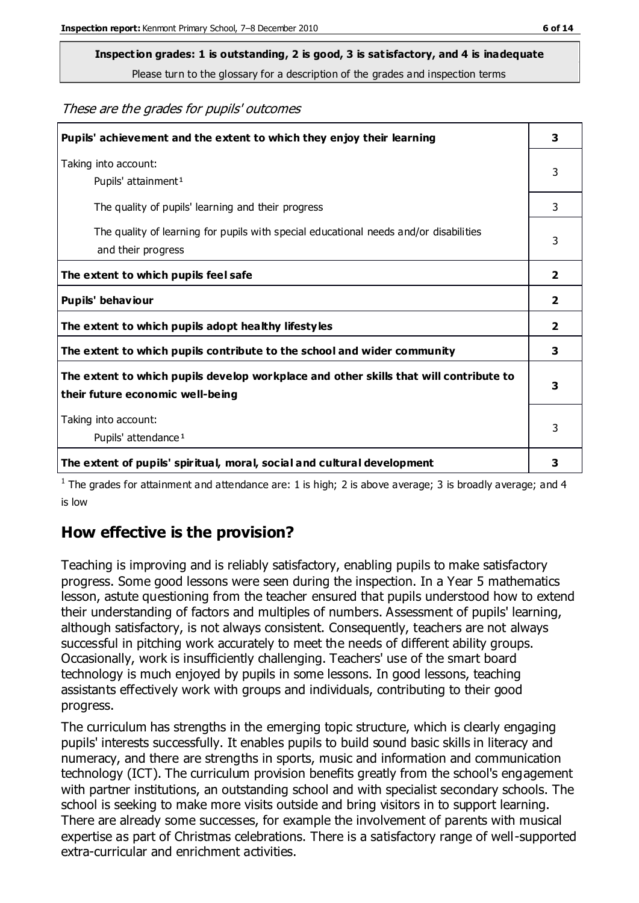## **Inspection grades: 1 is outstanding, 2 is good, 3 is satisfactory, and 4 is inadequate**

Please turn to the glossary for a description of the grades and inspection terms

These are the grades for pupils' outcomes

| Pupils' achievement and the extent to which they enjoy their learning                                                     | 3                       |
|---------------------------------------------------------------------------------------------------------------------------|-------------------------|
| Taking into account:<br>Pupils' attainment <sup>1</sup>                                                                   | 3                       |
| The quality of pupils' learning and their progress                                                                        | 3                       |
| The quality of learning for pupils with special educational needs and/or disabilities<br>and their progress               | 3                       |
| The extent to which pupils feel safe                                                                                      | $\overline{\mathbf{2}}$ |
| Pupils' behaviour                                                                                                         | 2                       |
| The extent to which pupils adopt healthy lifestyles                                                                       | 2                       |
| The extent to which pupils contribute to the school and wider community                                                   | 3                       |
| The extent to which pupils develop workplace and other skills that will contribute to<br>their future economic well-being |                         |
| Taking into account:<br>Pupils' attendance <sup>1</sup>                                                                   | 3                       |
| The extent of pupils' spiritual, moral, social and cultural development                                                   | 3                       |

<sup>1</sup> The grades for attainment and attendance are: 1 is high; 2 is above average; 3 is broadly average; and 4 is low

#### **How effective is the provision?**

Teaching is improving and is reliably satisfactory, enabling pupils to make satisfactory progress. Some good lessons were seen during the inspection. In a Year 5 mathematics lesson, astute questioning from the teacher ensured that pupils understood how to extend their understanding of factors and multiples of numbers. Assessment of pupils' learning, although satisfactory, is not always consistent. Consequently, teachers are not always successful in pitching work accurately to meet the needs of different ability groups. Occasionally, work is insufficiently challenging. Teachers' use of the smart board technology is much enjoyed by pupils in some lessons. In good lessons, teaching assistants effectively work with groups and individuals, contributing to their good progress.

The curriculum has strengths in the emerging topic structure, which is clearly engaging pupils' interests successfully. It enables pupils to build sound basic skills in literacy and numeracy, and there are strengths in sports, music and information and communication technology (ICT). The curriculum provision benefits greatly from the school's engagement with partner institutions, an outstanding school and with specialist secondary schools. The school is seeking to make more visits outside and bring visitors in to support learning. There are already some successes, for example the involvement of parents with musical expertise as part of Christmas celebrations. There is a satisfactory range of well-supported extra-curricular and enrichment activities.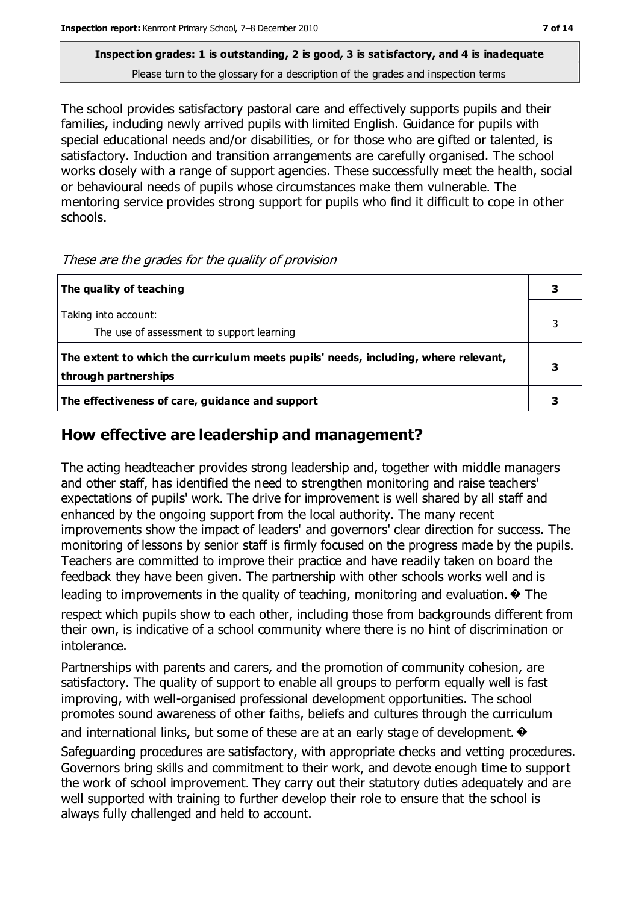#### **Inspection grades: 1 is outstanding, 2 is good, 3 is satisfactory, and 4 is inadequate** Please turn to the glossary for a description of the grades and inspection terms

The school provides satisfactory pastoral care and effectively supports pupils and their families, including newly arrived pupils with limited English. Guidance for pupils with special educational needs and/or disabilities, or for those who are gifted or talented, is satisfactory. Induction and transition arrangements are carefully organised. The school works closely with a range of support agencies. These successfully meet the health, social or behavioural needs of pupils whose circumstances make them vulnerable. The mentoring service provides strong support for pupils who find it difficult to cope in other schools.

These are the grades for the quality of provision

| The quality of teaching                                                                                    |  |
|------------------------------------------------------------------------------------------------------------|--|
| Taking into account:<br>The use of assessment to support learning                                          |  |
| The extent to which the curriculum meets pupils' needs, including, where relevant,<br>through partnerships |  |
| The effectiveness of care, guidance and support                                                            |  |

#### **How effective are leadership and management?**

The acting headteacher provides strong leadership and, together with middle managers and other staff, has identified the need to strengthen monitoring and raise teachers' expectations of pupils' work. The drive for improvement is well shared by all staff and enhanced by the ongoing support from the local authority. The many recent improvements show the impact of leaders' and governors' clear direction for success. The monitoring of lessons by senior staff is firmly focused on the progress made by the pupils. Teachers are committed to improve their practice and have readily taken on board the feedback they have been given. The partnership with other schools works well and is leading to improvements in the quality of teaching, monitoring and evaluation.  $\odot$  The respect which pupils show to each other, including those from backgrounds different from

their own, is indicative of a school community where there is no hint of discrimination or intolerance.

Partnerships with parents and carers, and the promotion of community cohesion, are satisfactory. The quality of support to enable all groups to perform equally well is fast improving, with well-organised professional development opportunities. The school promotes sound awareness of other faiths, beliefs and cultures through the curriculum and international links, but some of these are at an early stage of development.  $\bullet$ 

Safeguarding procedures are satisfactory, with appropriate checks and vetting procedures. Governors bring skills and commitment to their work, and devote enough time to support the work of school improvement. They carry out their statutory duties adequately and are well supported with training to further develop their role to ensure that the school is always fully challenged and held to account.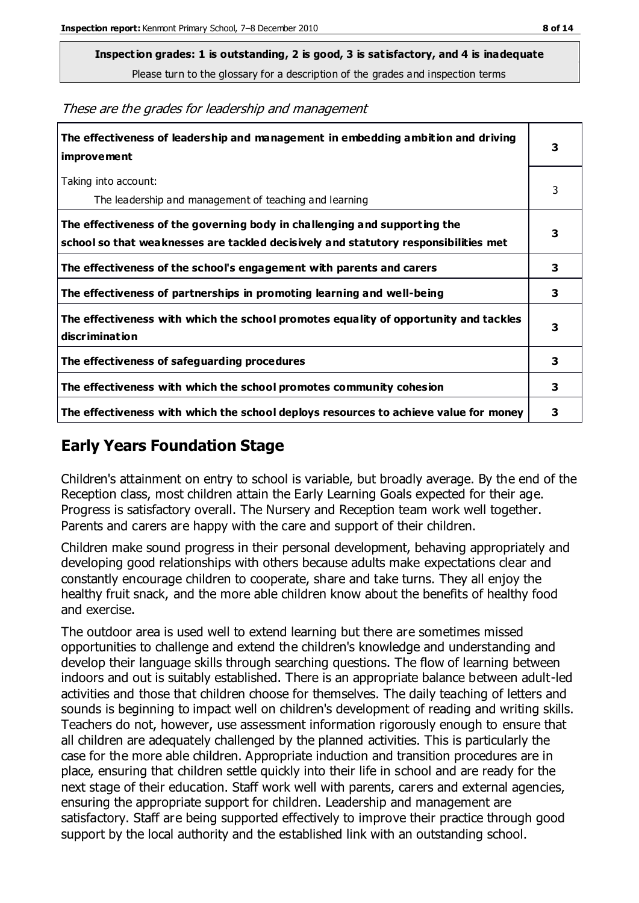**Inspection grades: 1 is outstanding, 2 is good, 3 is satisfactory, and 4 is inadequate**

Please turn to the glossary for a description of the grades and inspection terms

These are the grades for leadership and management

| The effectiveness of leadership and management in embedding ambition and driving<br><b>improvement</b>                                                           |   |
|------------------------------------------------------------------------------------------------------------------------------------------------------------------|---|
| Taking into account:<br>The leadership and management of teaching and learning                                                                                   | 3 |
| The effectiveness of the governing body in challenging and supporting the<br>school so that weaknesses are tackled decisively and statutory responsibilities met | 3 |
| The effectiveness of the school's engagement with parents and carers                                                                                             | 3 |
| The effectiveness of partnerships in promoting learning and well-being                                                                                           | 3 |
| The effectiveness with which the school promotes equality of opportunity and tackles<br><b>discrimination</b>                                                    | 3 |
| The effectiveness of safeguarding procedures                                                                                                                     | 3 |
| The effectiveness with which the school promotes community cohesion                                                                                              | 3 |
| The effectiveness with which the school deploys resources to achieve value for money                                                                             | 3 |

#### **Early Years Foundation Stage**

Children's attainment on entry to school is variable, but broadly average. By the end of the Reception class, most children attain the Early Learning Goals expected for their age. Progress is satisfactory overall. The Nursery and Reception team work well together. Parents and carers are happy with the care and support of their children.

Children make sound progress in their personal development, behaving appropriately and developing good relationships with others because adults make expectations clear and constantly encourage children to cooperate, share and take turns. They all enjoy the healthy fruit snack, and the more able children know about the benefits of healthy food and exercise.

The outdoor area is used well to extend learning but there are sometimes missed opportunities to challenge and extend the children's knowledge and understanding and develop their language skills through searching questions. The flow of learning between indoors and out is suitably established. There is an appropriate balance between adult-led activities and those that children choose for themselves. The daily teaching of letters and sounds is beginning to impact well on children's development of reading and writing skills. Teachers do not, however, use assessment information rigorously enough to ensure that all children are adequately challenged by the planned activities. This is particularly the case for the more able children. Appropriate induction and transition procedures are in place, ensuring that children settle quickly into their life in school and are ready for the next stage of their education. Staff work well with parents, carers and external agencies, ensuring the appropriate support for children. Leadership and management are satisfactory. Staff are being supported effectively to improve their practice through good support by the local authority and the established link with an outstanding school.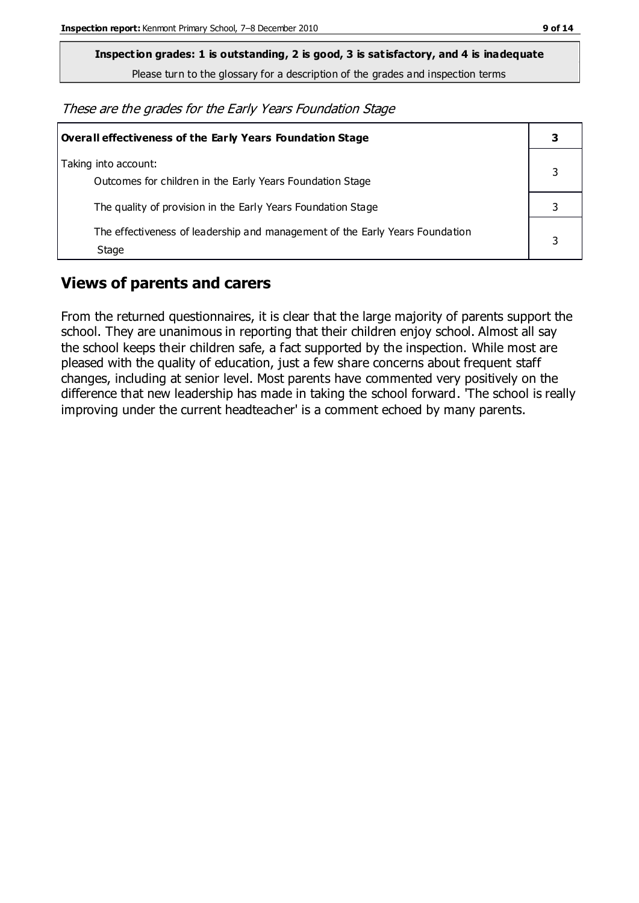**Inspection grades: 1 is outstanding, 2 is good, 3 is satisfactory, and 4 is inadequate**

Please turn to the glossary for a description of the grades and inspection terms

These are the grades for the Early Years Foundation Stage

| Overall effectiveness of the Early Years Foundation Stage                             | 3 |
|---------------------------------------------------------------------------------------|---|
| Taking into account:<br>Outcomes for children in the Early Years Foundation Stage     |   |
| The quality of provision in the Early Years Foundation Stage                          |   |
| The effectiveness of leadership and management of the Early Years Foundation<br>Stage | 3 |

#### **Views of parents and carers**

From the returned questionnaires, it is clear that the large majority of parents support the school. They are unanimous in reporting that their children enjoy school. Almost all say the school keeps their children safe, a fact supported by the inspection. While most are pleased with the quality of education, just a few share concerns about frequent staff changes, including at senior level. Most parents have commented very positively on the difference that new leadership has made in taking the school forward. 'The school is really improving under the current headteacher' is a comment echoed by many parents.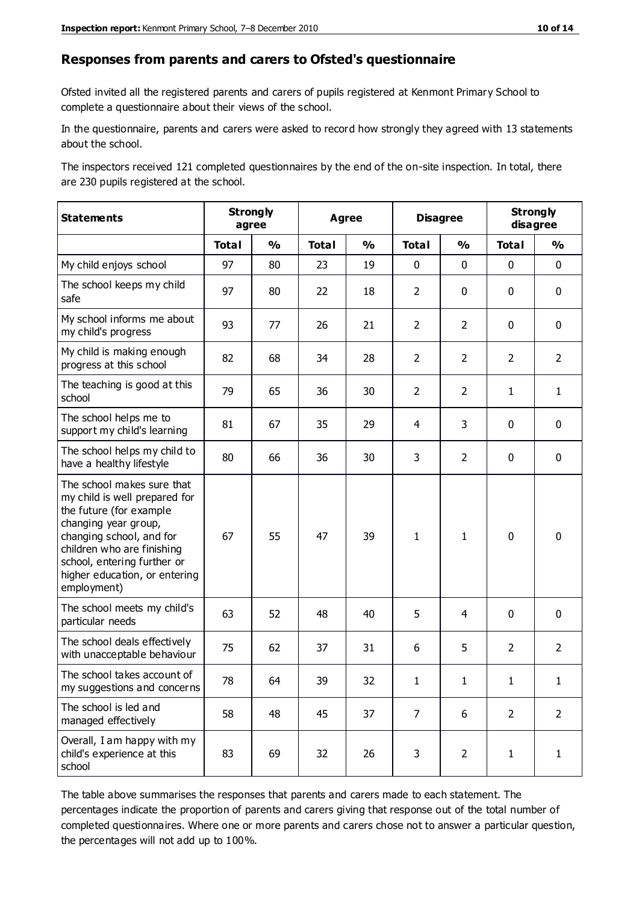#### **Responses from parents and carers to Ofsted's questionnaire**

Ofsted invited all the registered parents and carers of pupils registered at Kenmont Primary School to complete a questionnaire about their views of the school.

In the questionnaire, parents and carers were asked to record how strongly they agreed with 13 statements about the school.

The inspectors received 121 completed questionnaires by the end of the on-site inspection. In total, there are 230 pupils registered at the school.

| <b>Statements</b>                                                                                                                                                                                                                                       | <b>Strongly</b><br><b>Disagree</b><br><b>Agree</b><br>agree |               | <b>Strongly</b><br>disagree |               |                |                |                |                |
|---------------------------------------------------------------------------------------------------------------------------------------------------------------------------------------------------------------------------------------------------------|-------------------------------------------------------------|---------------|-----------------------------|---------------|----------------|----------------|----------------|----------------|
|                                                                                                                                                                                                                                                         | <b>Total</b>                                                | $\frac{1}{2}$ | <b>Total</b>                | $\frac{1}{2}$ | <b>Total</b>   | $\frac{1}{2}$  | <b>Total</b>   | $\frac{1}{2}$  |
| My child enjoys school                                                                                                                                                                                                                                  | 97                                                          | 80            | 23                          | 19            | 0              | $\mathbf 0$    | $\mathbf 0$    | $\mathbf 0$    |
| The school keeps my child<br>safe                                                                                                                                                                                                                       | 97                                                          | 80            | 22                          | 18            | $\overline{2}$ | $\mathbf 0$    | $\mathbf 0$    | $\mathbf 0$    |
| My school informs me about<br>my child's progress                                                                                                                                                                                                       | 93                                                          | 77            | 26                          | 21            | $\overline{2}$ | $\overline{2}$ | $\mathbf 0$    | $\mathbf 0$    |
| My child is making enough<br>progress at this school                                                                                                                                                                                                    | 82                                                          | 68            | 34                          | 28            | $\overline{2}$ | $\overline{2}$ | $\overline{2}$ | $\overline{2}$ |
| The teaching is good at this<br>school                                                                                                                                                                                                                  | 79                                                          | 65            | 36                          | 30            | $\overline{2}$ | $\overline{2}$ | $\mathbf{1}$   | $\mathbf{1}$   |
| The school helps me to<br>support my child's learning                                                                                                                                                                                                   | 81                                                          | 67            | 35                          | 29            | 4              | 3              | $\mathbf 0$    | $\mathbf 0$    |
| The school helps my child to<br>have a healthy lifestyle                                                                                                                                                                                                | 80                                                          | 66            | 36                          | 30            | 3              | $\overline{2}$ | $\mathbf 0$    | $\mathbf 0$    |
| The school makes sure that<br>my child is well prepared for<br>the future (for example<br>changing year group,<br>changing school, and for<br>children who are finishing<br>school, entering further or<br>higher education, or entering<br>employment) | 67                                                          | 55            | 47                          | 39            | $\mathbf{1}$   | $\mathbf{1}$   | $\mathbf 0$    | $\mathbf 0$    |
| The school meets my child's<br>particular needs                                                                                                                                                                                                         | 63                                                          | 52            | 48                          | 40            | 5              | 4              | $\mathbf 0$    | $\mathbf 0$    |
| The school deals effectively<br>with unacceptable behaviour                                                                                                                                                                                             | 75                                                          | 62            | 37                          | 31            | 6              | 5              | $\overline{2}$ | $\overline{2}$ |
| The school takes account of<br>my suggestions and concerns                                                                                                                                                                                              | 78                                                          | 64            | 39                          | 32            | 1              | 1              | 1              | 1              |
| The school is led and<br>managed effectively                                                                                                                                                                                                            | 58                                                          | 48            | 45                          | 37            | $\overline{7}$ | 6              | $\overline{2}$ | $\overline{2}$ |
| Overall, I am happy with my<br>child's experience at this<br>school                                                                                                                                                                                     | 83                                                          | 69            | 32                          | 26            | $\mathsf{3}$   | $\overline{2}$ | $\mathbf{1}$   | $\mathbf{1}$   |

The table above summarises the responses that parents and carers made to each statement. The percentages indicate the proportion of parents and carers giving that response out of the total number of completed questionnaires. Where one or more parents and carers chose not to answer a particular question, the percentages will not add up to 100%.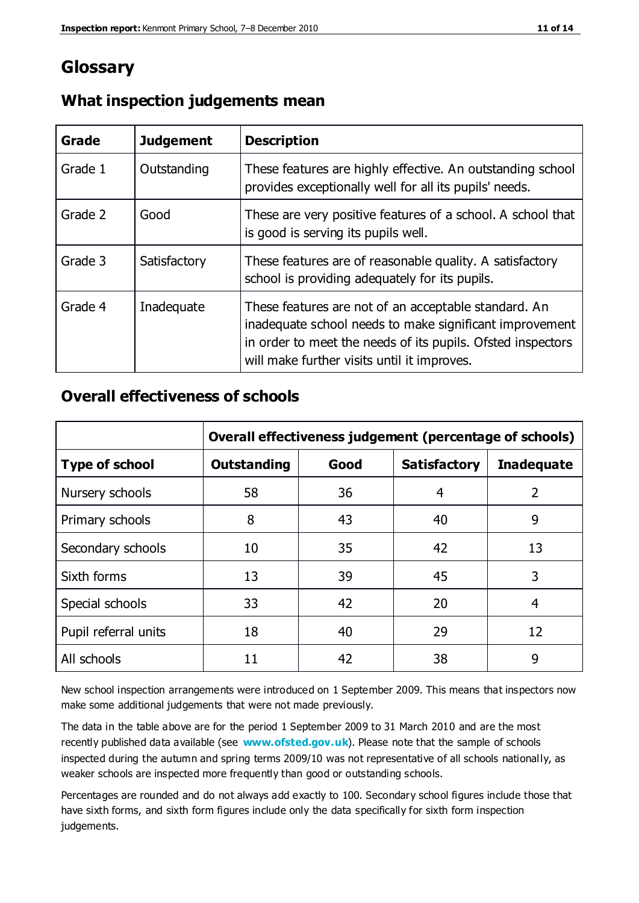### **Glossary**

| Grade   | <b>Judgement</b> | <b>Description</b>                                                                                                                                                                                                            |
|---------|------------------|-------------------------------------------------------------------------------------------------------------------------------------------------------------------------------------------------------------------------------|
| Grade 1 | Outstanding      | These features are highly effective. An outstanding school<br>provides exceptionally well for all its pupils' needs.                                                                                                          |
| Grade 2 | Good             | These are very positive features of a school. A school that<br>is good is serving its pupils well.                                                                                                                            |
| Grade 3 | Satisfactory     | These features are of reasonable quality. A satisfactory<br>school is providing adequately for its pupils.                                                                                                                    |
| Grade 4 | Inadequate       | These features are not of an acceptable standard. An<br>inadequate school needs to make significant improvement<br>in order to meet the needs of its pupils. Ofsted inspectors<br>will make further visits until it improves. |

#### **What inspection judgements mean**

#### **Overall effectiveness of schools**

|                       | Overall effectiveness judgement (percentage of schools) |      |                     |                   |
|-----------------------|---------------------------------------------------------|------|---------------------|-------------------|
| <b>Type of school</b> | <b>Outstanding</b>                                      | Good | <b>Satisfactory</b> | <b>Inadequate</b> |
| Nursery schools       | 58                                                      | 36   | 4                   | 2                 |
| Primary schools       | 8                                                       | 43   | 40                  | 9                 |
| Secondary schools     | 10                                                      | 35   | 42                  | 13                |
| Sixth forms           | 13                                                      | 39   | 45                  | 3                 |
| Special schools       | 33                                                      | 42   | 20                  | 4                 |
| Pupil referral units  | 18                                                      | 40   | 29                  | 12                |
| All schools           | 11                                                      | 42   | 38                  | 9                 |

New school inspection arrangements were introduced on 1 September 2009. This means that inspectors now make some additional judgements that were not made previously.

The data in the table above are for the period 1 September 2009 to 31 March 2010 and are the most recently published data available (see **[www.ofsted.gov.uk](http://www.ofsted.gov.uk/)**). Please note that the sample of schools inspected during the autumn and spring terms 2009/10 was not representative of all schools nationally, as weaker schools are inspected more frequently than good or outstanding schools.

Percentages are rounded and do not always add exactly to 100. Secondary school figures include those that have sixth forms, and sixth form figures include only the data specifically for sixth form inspection judgements.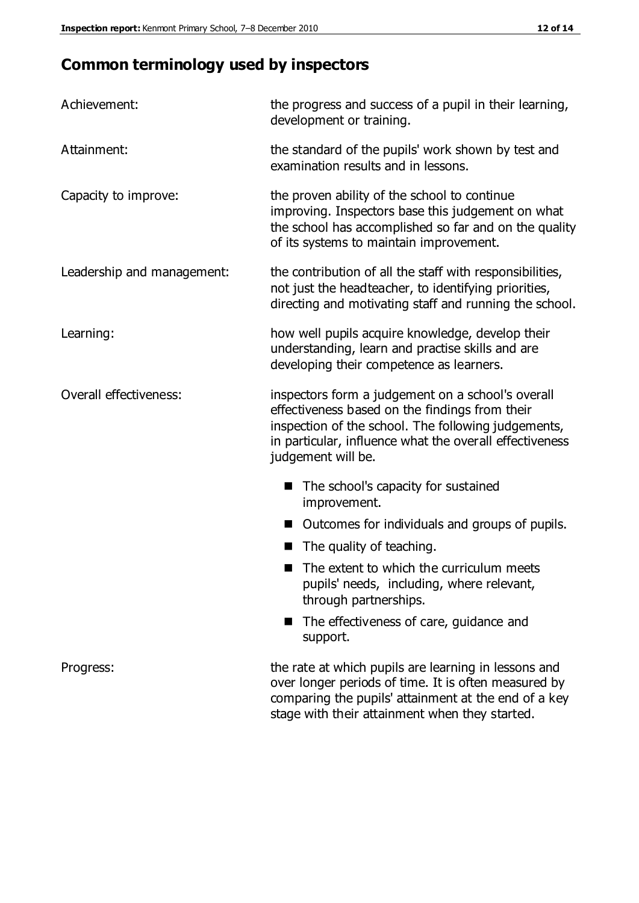## **Common terminology used by inspectors**

| Achievement:                  | the progress and success of a pupil in their learning,<br>development or training.                                                                                                                                                          |  |  |
|-------------------------------|---------------------------------------------------------------------------------------------------------------------------------------------------------------------------------------------------------------------------------------------|--|--|
| Attainment:                   | the standard of the pupils' work shown by test and<br>examination results and in lessons.                                                                                                                                                   |  |  |
| Capacity to improve:          | the proven ability of the school to continue<br>improving. Inspectors base this judgement on what<br>the school has accomplished so far and on the quality<br>of its systems to maintain improvement.                                       |  |  |
| Leadership and management:    | the contribution of all the staff with responsibilities,<br>not just the headteacher, to identifying priorities,<br>directing and motivating staff and running the school.                                                                  |  |  |
| Learning:                     | how well pupils acquire knowledge, develop their<br>understanding, learn and practise skills and are<br>developing their competence as learners.                                                                                            |  |  |
| <b>Overall effectiveness:</b> | inspectors form a judgement on a school's overall<br>effectiveness based on the findings from their<br>inspection of the school. The following judgements,<br>in particular, influence what the overall effectiveness<br>judgement will be. |  |  |
|                               | The school's capacity for sustained<br>improvement.                                                                                                                                                                                         |  |  |
|                               | Outcomes for individuals and groups of pupils.                                                                                                                                                                                              |  |  |
|                               | The quality of teaching.                                                                                                                                                                                                                    |  |  |
|                               | The extent to which the curriculum meets<br>pupils' needs, including, where relevant,<br>through partnerships.                                                                                                                              |  |  |
|                               | The effectiveness of care, guidance and<br>support.                                                                                                                                                                                         |  |  |
| Progress:                     | the rate at which pupils are learning in lessons and<br>over longer periods of time. It is often measured by<br>comparing the pupils' attainment at the end of a key                                                                        |  |  |

stage with their attainment when they started.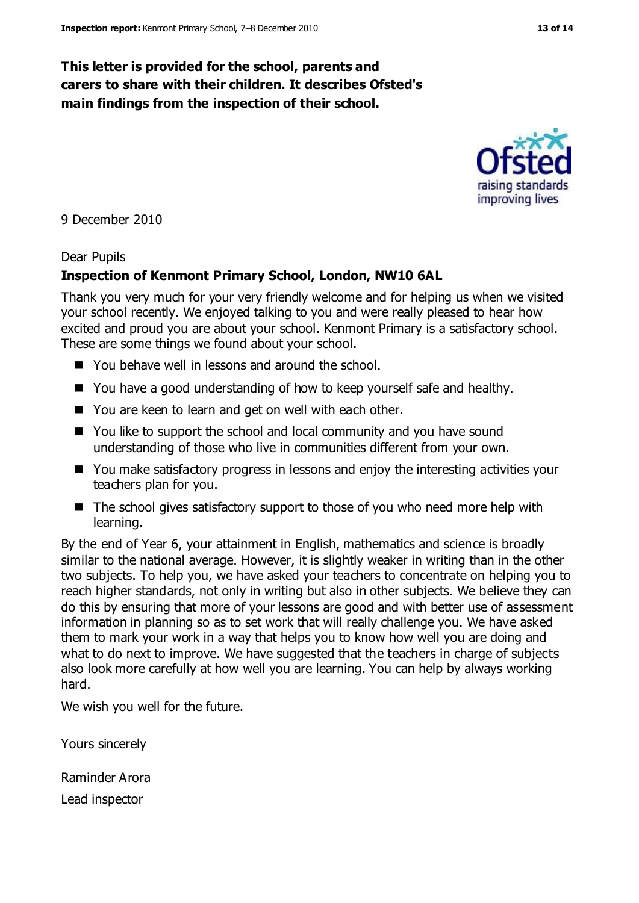#### **This letter is provided for the school, parents and carers to share with their children. It describes Ofsted's main findings from the inspection of their school.**

9 December 2010

#### Dear Pupils

#### **Inspection of Kenmont Primary School, London, NW10 6AL**

Thank you very much for your very friendly welcome and for helping us when we visited your school recently. We enjoyed talking to you and were really pleased to hear how excited and proud you are about your school. Kenmont Primary is a satisfactory school. These are some things we found about your school.

- You behave well in lessons and around the school.
- You have a good understanding of how to keep yourself safe and healthy.
- You are keen to learn and get on well with each other.
- You like to support the school and local community and you have sound understanding of those who live in communities different from your own.
- You make satisfactory progress in lessons and enjoy the interesting activities your teachers plan for you.
- The school gives satisfactory support to those of you who need more help with learning.

By the end of Year 6, your attainment in English, mathematics and science is broadly similar to the national average. However, it is slightly weaker in writing than in the other two subjects. To help you, we have asked your teachers to concentrate on helping you to reach higher standards, not only in writing but also in other subjects. We believe they can do this by ensuring that more of your lessons are good and with better use of assessment information in planning so as to set work that will really challenge you. We have asked them to mark your work in a way that helps you to know how well you are doing and what to do next to improve. We have suggested that the teachers in charge of subjects also look more carefully at how well you are learning. You can help by always working hard.

We wish you well for the future.

Yours sincerely

Raminder Arora

Lead inspector